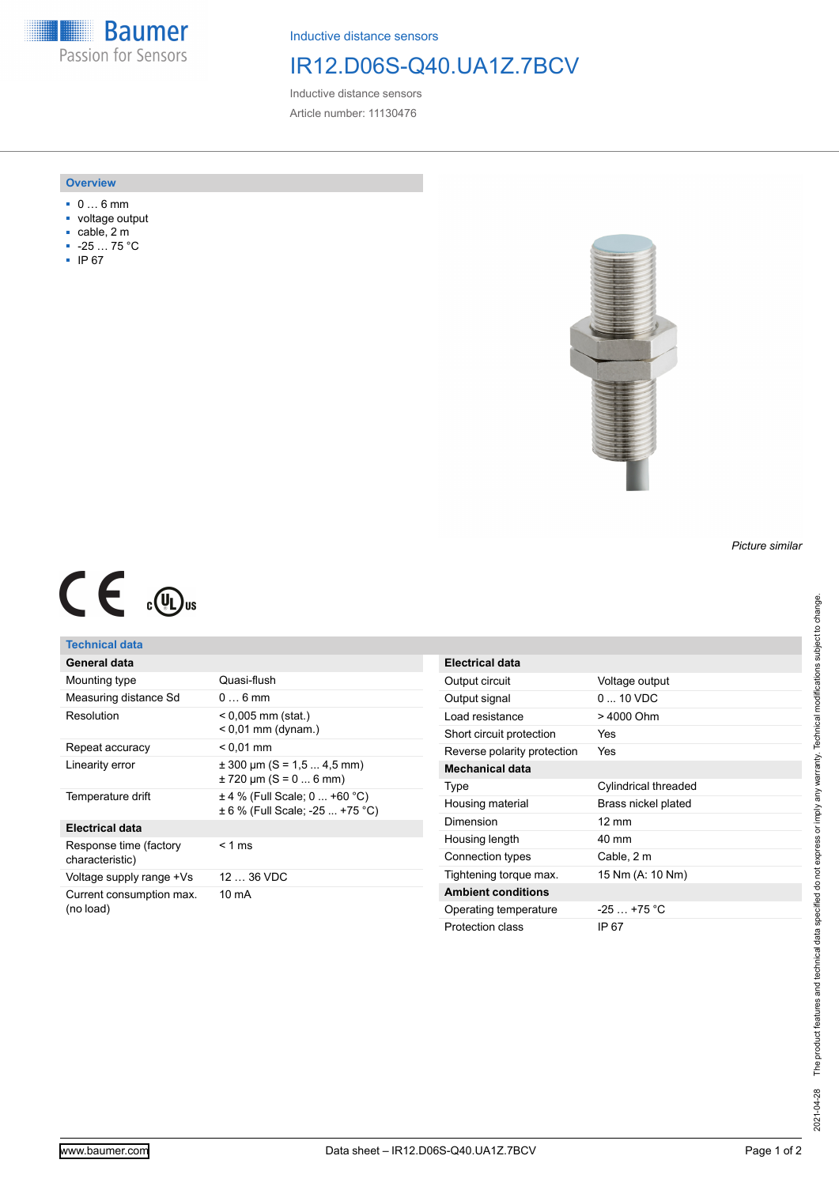**Baumer** Passion for Sensors

Inductive distance sensors

## IR12.D06S-Q40.UA1Z.7BCV

Inductive distance sensors Article number: 11130476

#### **Overview**

- 0 … 6 mm
- voltage output
- cable, 2 m
- -25 … 75 °C
- IP 67



# $C \in \mathbb{C}$

### **Technical data**

| General data                              |                                                                      |
|-------------------------------------------|----------------------------------------------------------------------|
| Mounting type                             | Quasi-flush                                                          |
| Measuring distance Sd                     | $06$ mm                                                              |
| Resolution                                | $< 0,005$ mm (stat.)<br>$< 0.01$ mm (dynam.)                         |
| Repeat accuracy                           | $< 0.01$ mm                                                          |
| Linearity error                           | $\pm$ 300 µm (S = 1,5  4,5 mm)<br>$\pm$ 720 µm (S = 0  6 mm)         |
| Temperature drift                         | $\pm$ 4 % (Full Scale; 0  +60 °C)<br>± 6 % (Full Scale: -25  +75 °C) |
| <b>Electrical data</b>                    |                                                                      |
| Response time (factory<br>characteristic) | $< 1$ ms                                                             |
| Voltage supply range +Vs                  | $1236$ VDC                                                           |
| Current consumption max.<br>(no load)     | $10 \text{ mA}$                                                      |

| <b>Electrical data</b>      |                          |
|-----------------------------|--------------------------|
| Output circuit              | Voltage output           |
| Output signal               | $0 \dots 10 \text{ VDC}$ |
| Load resistance             | > 4000 Ohm               |
| Short circuit protection    | Yes                      |
| Reverse polarity protection | Yes                      |
| Mechanical data             |                          |
| Type                        | Cylindrical threaded     |
| Housing material            | Brass nickel plated      |
| Dimension                   | $12 \text{ mm}$          |
| Housing length              | $40 \text{ mm}$          |
| Connection types            | Cable, 2 m               |
| Tightening torque max.      | 15 Nm (A: 10 Nm)         |
| <b>Ambient conditions</b>   |                          |
| Operating temperature       | $-25$ $+75$ °C           |
| Protection class            | IP 67                    |

*Picture similar*